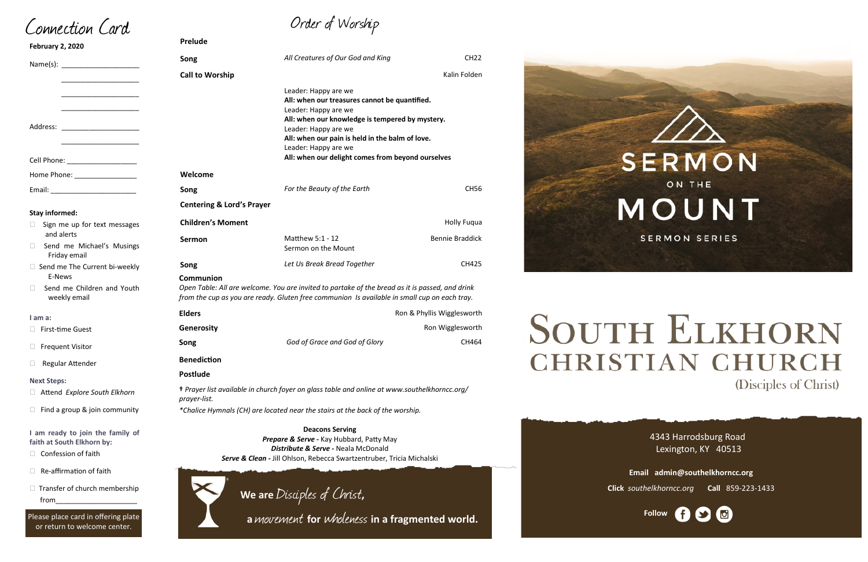Order of Worship

# **Prelude**

- $\Box$  Confession of faith
- $\Box$  Re-affirmation of faith
- $\Box$  Transfer of church membership from\_\_\_\_\_\_\_\_\_\_\_\_\_\_\_\_\_\_\_\_\_

| February 2, 2020                                               |                                                                                                                                                                                                              |                                                                                                                                                                                                                                                                                                          |                            |
|----------------------------------------------------------------|--------------------------------------------------------------------------------------------------------------------------------------------------------------------------------------------------------------|----------------------------------------------------------------------------------------------------------------------------------------------------------------------------------------------------------------------------------------------------------------------------------------------------------|----------------------------|
|                                                                | Song                                                                                                                                                                                                         | All Creatures of Our God and King                                                                                                                                                                                                                                                                        | <b>CH22</b>                |
|                                                                | <b>Call to Worship</b>                                                                                                                                                                                       |                                                                                                                                                                                                                                                                                                          | Kalin Folden               |
| Address:<br><u> 1990 - Johann Barbara, martin a</u>            |                                                                                                                                                                                                              | Leader: Happy are we<br>All: when our treasures cannot be quantified.<br>Leader: Happy are we<br>All: when our knowledge is tempered by mystery.<br>Leader: Happy are we<br>All: when our pain is held in the balm of love.<br>Leader: Happy are we<br>All: when our delight comes from beyond ourselves |                            |
| Cell Phone: ______________________                             | Welcome                                                                                                                                                                                                      |                                                                                                                                                                                                                                                                                                          |                            |
| Home Phone: ___________________                                | Song                                                                                                                                                                                                         | For the Beauty of the Earth                                                                                                                                                                                                                                                                              | <b>CH56</b>                |
| <b>Stay informed:</b>                                          | <b>Centering &amp; Lord's Prayer</b>                                                                                                                                                                         |                                                                                                                                                                                                                                                                                                          |                            |
| Sign me up for text messages<br>⊔                              | <b>Children's Moment</b>                                                                                                                                                                                     |                                                                                                                                                                                                                                                                                                          | <b>Holly Fuqua</b>         |
| and alerts<br>Send me Michael's Musings<br>⊔<br>Friday email   | <b>Sermon</b>                                                                                                                                                                                                | Matthew 5:1 - 12<br>Sermon on the Mount                                                                                                                                                                                                                                                                  | <b>Bennie Braddick</b>     |
| □ Send me The Current bi-weekly                                | Song                                                                                                                                                                                                         | Let Us Break Bread Together                                                                                                                                                                                                                                                                              | CH425                      |
| E-News<br>Send me Children and Youth<br>П<br>weekly email      | Communion<br>Open Table: All are welcome. You are invited to partake of the bread as it is passed, and drink<br>from the cup as you are ready. Gluten free communion Is available in small cup on each tray. |                                                                                                                                                                                                                                                                                                          |                            |
| I am a:                                                        | <b>Elders</b>                                                                                                                                                                                                |                                                                                                                                                                                                                                                                                                          | Ron & Phyllis Wigglesworth |
| □ First-time Guest                                             | Generosity                                                                                                                                                                                                   |                                                                                                                                                                                                                                                                                                          | Ron Wigglesworth           |
| $\Box$ Frequent Visitor                                        | Song                                                                                                                                                                                                         | God of Grace and God of Glory                                                                                                                                                                                                                                                                            | CH464                      |
| □ Regular Attender                                             | <b>Benediction</b>                                                                                                                                                                                           |                                                                                                                                                                                                                                                                                                          |                            |
| <b>Next Steps:</b>                                             | <b>Postlude</b>                                                                                                                                                                                              |                                                                                                                                                                                                                                                                                                          |                            |
| Attend Explore South Elkhorn                                   | + Prayer list available in church foyer on glass table and online at www.southelkhorncc.org/<br>prayer-list.                                                                                                 |                                                                                                                                                                                                                                                                                                          |                            |
| Find a group & join community<br>U                             | *Chalice Hymnals (CH) are located near the stairs at the back of the worship.                                                                                                                                |                                                                                                                                                                                                                                                                                                          |                            |
| I am ready to join the family of<br>faith at South Elkhorn by: | <b>Deacons Serving</b><br>Prepare & Serve - Kay Hubbard, Patty May<br>Distribute & Serve - Neala McDonald                                                                                                    |                                                                                                                                                                                                                                                                                                          |                            |

4343 Harrodsburg Road Lexington, KY 40513



**Email admin@southelkhorncc.org Click** *southelkhorncc.org* **Call** 859-223-1433



# **SOUTH ELKHORN CHRISTIAN CHURCH** (Disciples of Christ)

Connection Card

**Febr** 

Please place card in offering plate or return to welcome center.

*Serve & Clean -* Jill Ohlson, Rebecca Swartzentruber, Tricia Michalski

**We are** Disciples of Christ**,** 

 **<sup>a</sup>**movement **for** wholeness **in a fragmented world.**